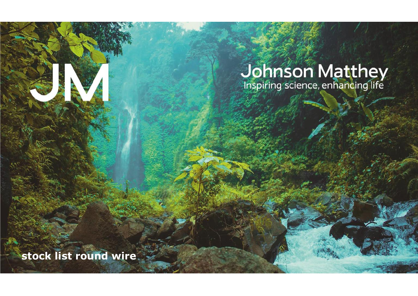# **Johnson Matthey**<br>Inspiring science, enhancing life

**stock list round wire**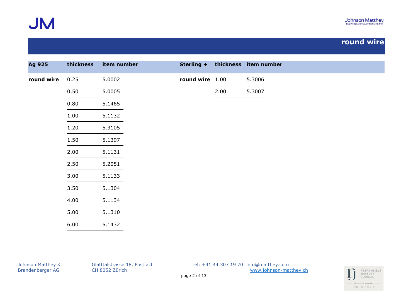

| Ag 925     | thickness | item number | Sterling +      |      | thickness item number |
|------------|-----------|-------------|-----------------|------|-----------------------|
| round wire | 0.25      | 5.0002      | round wire 1.00 |      | 5.3006                |
|            | 0.50      | 5.0005      |                 | 2.00 | 5.3007                |
|            | 0.80      | 5.1465      |                 |      |                       |
|            | 1.00      | 5.1132      |                 |      |                       |
|            | 1.20      | 5.3105      |                 |      |                       |
|            | 1.50      | 5.1397      |                 |      |                       |
|            | 2.00      | 5.1131      |                 |      |                       |
|            | 2.50      | 5.2051      |                 |      |                       |
|            | 3.00      | 5.1133      |                 |      |                       |
|            | 3.50      | 5.1304      |                 |      |                       |
|            | 4.00      | 5.1134      |                 |      |                       |
|            | 5.00      | 5.1310      |                 |      |                       |
|            | 6.00      | 5.1432      |                 |      |                       |

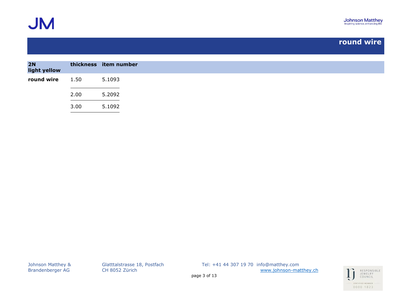

| 2N<br>light yellow |      | thickness item number |
|--------------------|------|-----------------------|
| round wire 1.50    |      | 5.1093                |
|                    | 2.00 | 5.2092                |
|                    | 3.00 | 5.1092                |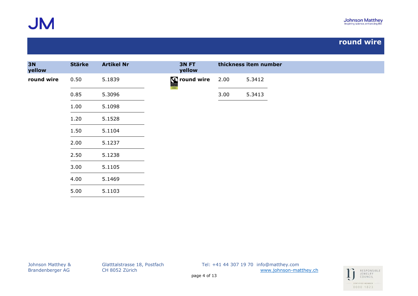

| <b>3N</b><br>yellow | <b>Stärke</b> | <b>Artikel Nr</b> | 3N FT<br>yellow            |      | thickness item number |  |  |
|---------------------|---------------|-------------------|----------------------------|------|-----------------------|--|--|
| round wire          | 0.50          | 5.1839            | <b>Solution</b> cound wire | 2.00 | 5.3412                |  |  |
|                     | 0.85          | 5.3096            |                            | 3.00 | 5.3413                |  |  |
|                     | 1.00          | 5.1098            |                            |      |                       |  |  |
|                     | 1.20          | 5.1528            |                            |      |                       |  |  |
|                     | 1.50          | 5.1104            |                            |      |                       |  |  |
|                     | 2.00          | 5.1237            |                            |      |                       |  |  |
|                     | 2.50          | 5.1238            |                            |      |                       |  |  |
|                     | 3.00          | 5.1105            |                            |      |                       |  |  |
|                     | 4.00          | 5.1469            |                            |      |                       |  |  |
|                     | 5.00          | 5.1103            |                            |      |                       |  |  |

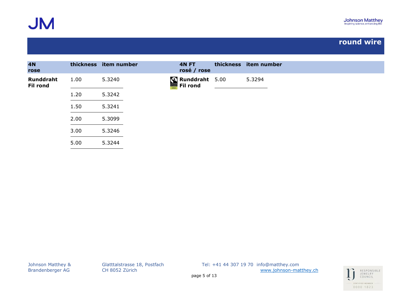

| <b>4N</b><br>rose            |      | thickness item number | 4N FT<br>rosé / rose              | thickness item number |
|------------------------------|------|-----------------------|-----------------------------------|-----------------------|
| Runddraht<br><b>Fil rond</b> | 1.00 | 5.3240                | Runddraht 5.00<br><b>Fil rond</b> | 5.3294                |
|                              | 1.20 | 5.3242                |                                   |                       |
|                              | 1.50 | 5.3241                |                                   |                       |
|                              | 2.00 | 5.3099                |                                   |                       |
|                              | 3.00 | 5.3246                |                                   |                       |
|                              | 5.00 | 5.3244                |                                   |                       |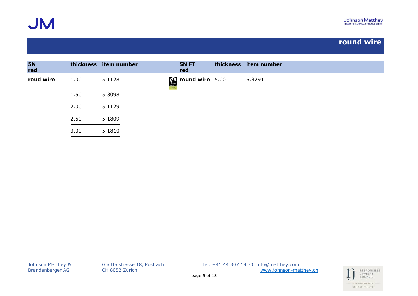

| <b>5N</b><br>red |      | thickness item number | 5N FT<br>red        | thickness item number |
|------------------|------|-----------------------|---------------------|-----------------------|
| roud wire        | 1.00 | 5.1128                | $S round wire 5.00$ | 5.3291                |
|                  | 1.50 | 5.3098                |                     |                       |
|                  | 2.00 | 5.1129                |                     |                       |
|                  | 2.50 | 5.1809                |                     |                       |
|                  | 3.00 | 5.1810                |                     |                       |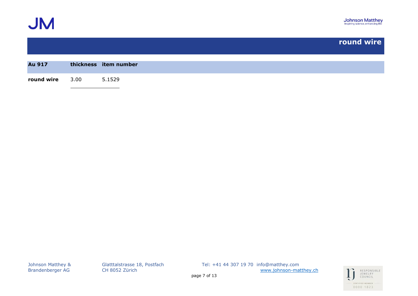

| Au 917          | thickness item number |
|-----------------|-----------------------|
|                 |                       |
| round wire 3.00 | 5.1529                |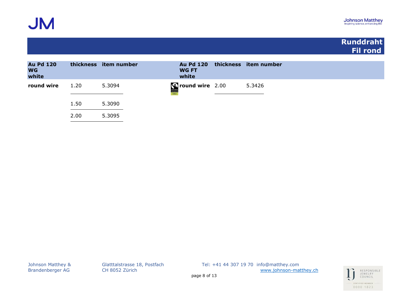

### **Runddraht Fil rond**

| <b>Au Pd 120</b><br><b>WG</b><br>white |      | thickness item number | <b>Au Pd 120</b><br><b>WG FT</b><br>white | thickness item number |
|----------------------------------------|------|-----------------------|-------------------------------------------|-----------------------|
| round wire                             | 1.20 | 5.3094                | C round wire 2.00<br>FAIRTRADE            | 5.3426                |
|                                        | 1.50 | 5.3090                |                                           |                       |
|                                        | 2.00 | 5.3095                |                                           |                       |

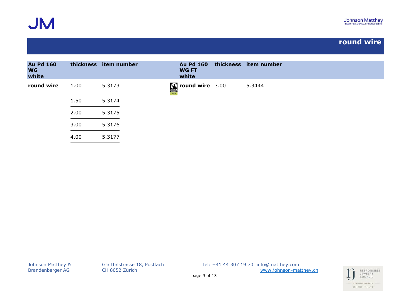

| <b>Au Pd 160</b><br><b>WG</b><br>white |      | thickness item number | <b>Au Pd 160</b><br><b>WG FT</b><br>white                                       | thickness item number |
|----------------------------------------|------|-----------------------|---------------------------------------------------------------------------------|-----------------------|
| round wire                             | 1.00 | 5.3173                | $\begin{array}{ c c c }\hline \textbf{Sound wire} & 3.00 \\ \hline \end{array}$ | 5.3444                |
|                                        | 1.50 | 5.3174                |                                                                                 |                       |
|                                        | 2.00 | 5.3175                |                                                                                 |                       |
|                                        | 3.00 | 5.3176                |                                                                                 |                       |
|                                        | 4.00 | 5.3177                |                                                                                 |                       |

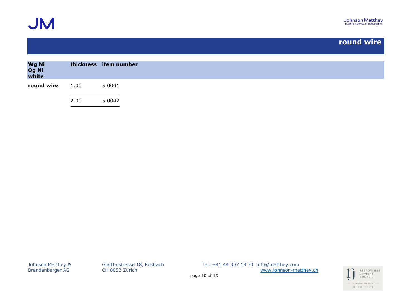

| Wg Ni<br>Og Ni<br>white |      | thickness item number |
|-------------------------|------|-----------------------|
| round wire              | 1.00 | 5.0041                |
|                         | 2.00 | 5.0042                |

Brandenberger AG CH 8052 Zürich [www.johnson-matthey.ch](http://www.johnson-matthey.c/)

Johnson Matthey & Glatttalstrasse 18, Postfach Tel: +41 44 307 19 70 info@matthey.com

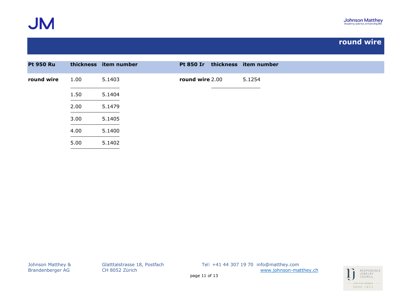

| <b>Pt 950 Ru</b> |      | thickness item number | <b>Pt 850 Ir</b> | thickness item number |
|------------------|------|-----------------------|------------------|-----------------------|
| round wire       | 1.00 | 5.1403                | round wire 2.00  | 5.1254                |
|                  | 1.50 | 5.1404                |                  |                       |
|                  | 2.00 | 5.1479                |                  |                       |
|                  | 3.00 | 5.1405                |                  |                       |
|                  | 4.00 | 5.1400                |                  |                       |
|                  | 5.00 | 5.1402                |                  |                       |

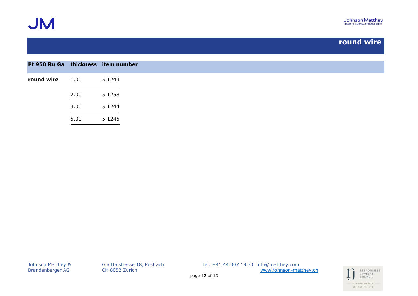

| Pt 950 Ru Ga thickness item number |      |        |
|------------------------------------|------|--------|
| round wire                         | 1.00 | 5.1243 |
|                                    | 2.00 | 5.1258 |
|                                    | 3.00 | 5.1244 |
|                                    | 5.00 | 5.1245 |